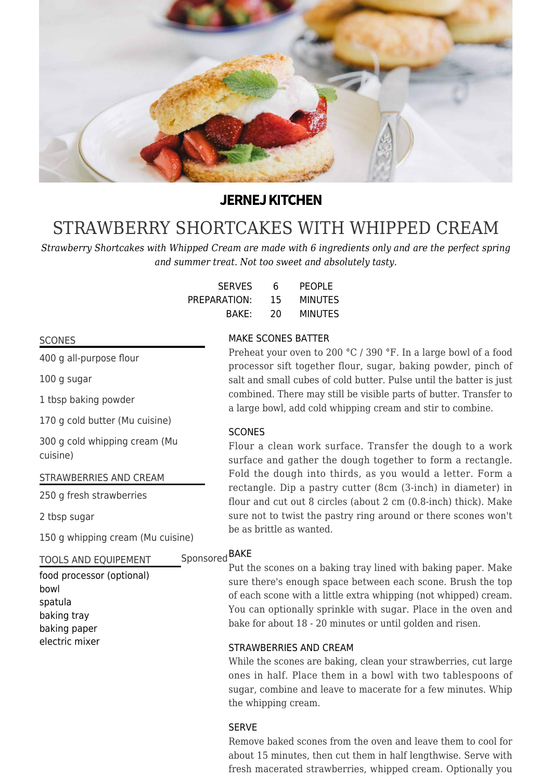

## **JERNEJ KITCHEN**

# [STRAWBERRY SHORTCAKES WITH WHIPPED CREAM](https://jernejkitchen.com/recipes/fruit/scones-strawberries-and-cream)

*Strawberry Shortcakes with Whipped Cream are made with 6 ingredients only and are the perfect spring and summer treat. Not too sweet and absolutely tasty.*

| <b>SERVES</b> | 6  | <b>PEOPLE</b>  |
|---------------|----|----------------|
| PREPARATION:  | 15 | <b>MINUTES</b> |
| BAKE:         | 20 | <b>MINUTES</b> |

#### SCONES

400 g all-purpose flour

100 g sugar

1 tbsp baking powder

170 g cold butter (Mu cuisine)

300 g cold whipping cream (Mu cuisine)

STRAWBERRIES AND CREAM

250 g fresh strawberries

2 tbsp sugar

150 g whipping cream (Mu cuisine)

#### TOOLS AND EQUIPEMENT

### food processor (optional) bowl spatula baking tray baking paper electric mixer

#### MAKE SCONES BATTER

Preheat your oven to 200 °C / 390 °F. In a large bowl of a food processor sift together flour, sugar, baking powder, pinch of salt and small cubes of cold butter. Pulse until the batter is just combined. There may still be visible parts of butter. Transfer to a large bowl, add cold whipping cream and stir to combine.

#### **SCONES**

Flour a clean work surface. Transfer the dough to a work surface and gather the dough together to form a rectangle. Fold the dough into thirds, as you would a letter. Form a rectangle. Dip a pastry cutter (8cm (3-inch) in diameter) in flour and cut out 8 circles (about 2 cm (0.8-inch) thick). Make sure not to twist the pastry ring around or there scones won't be as brittle as wanted.

## Sponsored <sup>BAKE</sup>

Put the scones on a baking tray lined with baking paper. Make sure there's enough space between each scone. Brush the top of each scone with a little extra whipping (not whipped) cream. You can optionally sprinkle with sugar. Place in the oven and bake for about 18 - 20 minutes or until golden and risen.

#### STRAWBERRIES AND CREAM

While the scones are baking, clean your strawberries, cut large ones in half. Place them in a bowl with two tablespoons of sugar, combine and leave to macerate for a few minutes. Whip the whipping cream.

#### SERVE

Remove baked scones from the oven and leave them to cool for about 15 minutes, then cut them in half lengthwise. Serve with fresh macerated strawberries, whipped cream. Optionally you